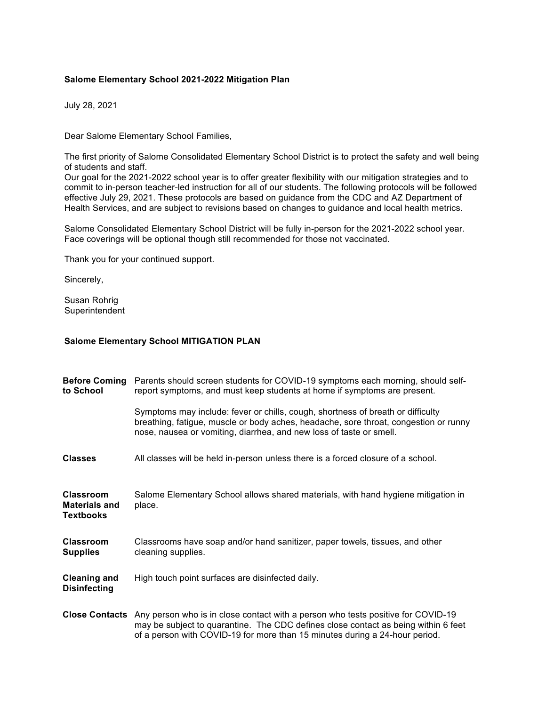## **Salome Elementary School 2021-2022 Mitigation Plan**

July 28, 2021

Dear Salome Elementary School Families,

The first priority of Salome Consolidated Elementary School District is to protect the safety and well being of students and staff.

Our goal for the 2021-2022 school year is to offer greater flexibility with our mitigation strategies and to commit to in-person teacher-led instruction for all of our students. The following protocols will be followed effective July 29, 2021. These protocols are based on guidance from the CDC and AZ Department of Health Services, and are subject to revisions based on changes to guidance and local health metrics.

Salome Consolidated Elementary School District will be fully in-person for the 2021-2022 school year. Face coverings will be optional though still recommended for those not vaccinated.

Thank you for your continued support.

Sincerely,

Susan Rohrig **Superintendent** 

## **Salome Elementary School MITIGATION PLAN**

| <b>Before Coming</b><br>to School                            | Parents should screen students for COVID-19 symptoms each morning, should self-<br>report symptoms, and must keep students at home if symptoms are present.                                                                                                          |
|--------------------------------------------------------------|----------------------------------------------------------------------------------------------------------------------------------------------------------------------------------------------------------------------------------------------------------------------|
|                                                              | Symptoms may include: fever or chills, cough, shortness of breath or difficulty<br>breathing, fatigue, muscle or body aches, headache, sore throat, congestion or runny<br>nose, nausea or vomiting, diarrhea, and new loss of taste or smell.                       |
| <b>Classes</b>                                               | All classes will be held in-person unless there is a forced closure of a school.                                                                                                                                                                                     |
| <b>Classroom</b><br><b>Materials and</b><br><b>Textbooks</b> | Salome Elementary School allows shared materials, with hand hygiene mitigation in<br>place.                                                                                                                                                                          |
| <b>Classroom</b><br><b>Supplies</b>                          | Classrooms have soap and/or hand sanitizer, paper towels, tissues, and other<br>cleaning supplies.                                                                                                                                                                   |
| <b>Cleaning and</b><br><b>Disinfecting</b>                   | High touch point surfaces are disinfected daily.                                                                                                                                                                                                                     |
|                                                              | Close Contacts Any person who is in close contact with a person who tests positive for COVID-19<br>may be subject to quarantine. The CDC defines close contact as being within 6 feet<br>of a person with COVID-19 for more than 15 minutes during a 24-hour period. |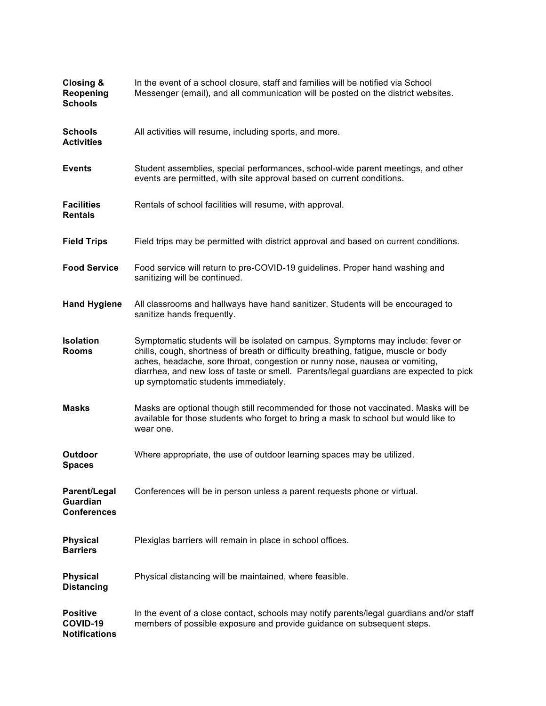| Closing &<br>Reopening<br><b>Schools</b>                     | In the event of a school closure, staff and families will be notified via School<br>Messenger (email), and all communication will be posted on the district websites.                                                                                                                                                                                                                   |
|--------------------------------------------------------------|-----------------------------------------------------------------------------------------------------------------------------------------------------------------------------------------------------------------------------------------------------------------------------------------------------------------------------------------------------------------------------------------|
| <b>Schools</b><br><b>Activities</b>                          | All activities will resume, including sports, and more.                                                                                                                                                                                                                                                                                                                                 |
| <b>Events</b>                                                | Student assemblies, special performances, school-wide parent meetings, and other<br>events are permitted, with site approval based on current conditions.                                                                                                                                                                                                                               |
| <b>Facilities</b><br><b>Rentals</b>                          | Rentals of school facilities will resume, with approval.                                                                                                                                                                                                                                                                                                                                |
| <b>Field Trips</b>                                           | Field trips may be permitted with district approval and based on current conditions.                                                                                                                                                                                                                                                                                                    |
| <b>Food Service</b>                                          | Food service will return to pre-COVID-19 guidelines. Proper hand washing and<br>sanitizing will be continued.                                                                                                                                                                                                                                                                           |
| <b>Hand Hygiene</b>                                          | All classrooms and hallways have hand sanitizer. Students will be encouraged to<br>sanitize hands frequently.                                                                                                                                                                                                                                                                           |
| <b>Isolation</b><br><b>Rooms</b>                             | Symptomatic students will be isolated on campus. Symptoms may include: fever or<br>chills, cough, shortness of breath or difficulty breathing, fatigue, muscle or body<br>aches, headache, sore throat, congestion or runny nose, nausea or vomiting,<br>diarrhea, and new loss of taste or smell. Parents/legal guardians are expected to pick<br>up symptomatic students immediately. |
| <b>Masks</b>                                                 | Masks are optional though still recommended for those not vaccinated. Masks will be<br>available for those students who forget to bring a mask to school but would like to<br>wear one.                                                                                                                                                                                                 |
| Outdoor<br><b>Spaces</b>                                     | Where appropriate, the use of outdoor learning spaces may be utilized.                                                                                                                                                                                                                                                                                                                  |
| <b>Parent/Legal</b><br><b>Guardian</b><br><b>Conferences</b> | Conferences will be in person unless a parent requests phone or virtual.                                                                                                                                                                                                                                                                                                                |
| <b>Physical</b><br><b>Barriers</b>                           | Plexiglas barriers will remain in place in school offices.                                                                                                                                                                                                                                                                                                                              |
| <b>Physical</b><br><b>Distancing</b>                         | Physical distancing will be maintained, where feasible.                                                                                                                                                                                                                                                                                                                                 |
| <b>Positive</b><br>COVID-19<br><b>Notifications</b>          | In the event of a close contact, schools may notify parents/legal guardians and/or staff<br>members of possible exposure and provide guidance on subsequent steps.                                                                                                                                                                                                                      |